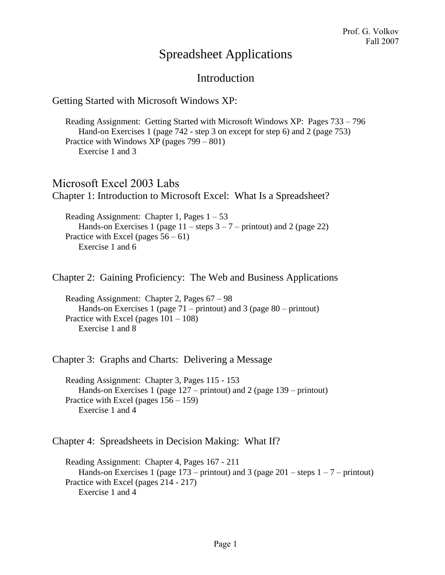## Spreadsheet Applications

## Introduction

## Getting Started with Microsoft Windows XP:

Reading Assignment: Getting Started with Microsoft Windows XP: Pages 733 – 796 Hand-on Exercises 1 (page 742 - step 3 on except for step 6) and 2 (page 753) Practice with Windows XP (pages 799 – 801) Exercise 1 and 3

Microsoft Excel 2003 Labs Chapter 1: Introduction to Microsoft Excel: What Is a Spreadsheet?

Reading Assignment: Chapter 1, Pages  $1 - 53$ Hands-on Exercises 1 (page  $11$  – steps  $3 - 7$  – printout) and 2 (page 22) Practice with Excel (pages  $56 - 61$ ) Exercise 1 and 6

Chapter 2: Gaining Proficiency: The Web and Business Applications

Reading Assignment: Chapter 2, Pages 67 – 98 Hands-on Exercises 1 (page 71 – printout) and 3 (page 80 – printout) Practice with Excel (pages 101 – 108) Exercise 1 and 8

Chapter 3: Graphs and Charts: Delivering a Message

Reading Assignment: Chapter 3, Pages 115 - 153 Hands-on Exercises 1 (page 127 – printout) and 2 (page 139 – printout) Practice with Excel (pages 156 – 159) Exercise 1 and 4

Chapter 4: Spreadsheets in Decision Making: What If?

Reading Assignment: Chapter 4, Pages 167 - 211 Hands-on Exercises 1 (page  $173$  – printout) and 3 (page  $201$  – steps  $1 - 7$  – printout) Practice with Excel (pages 214 - 217) Exercise 1 and 4